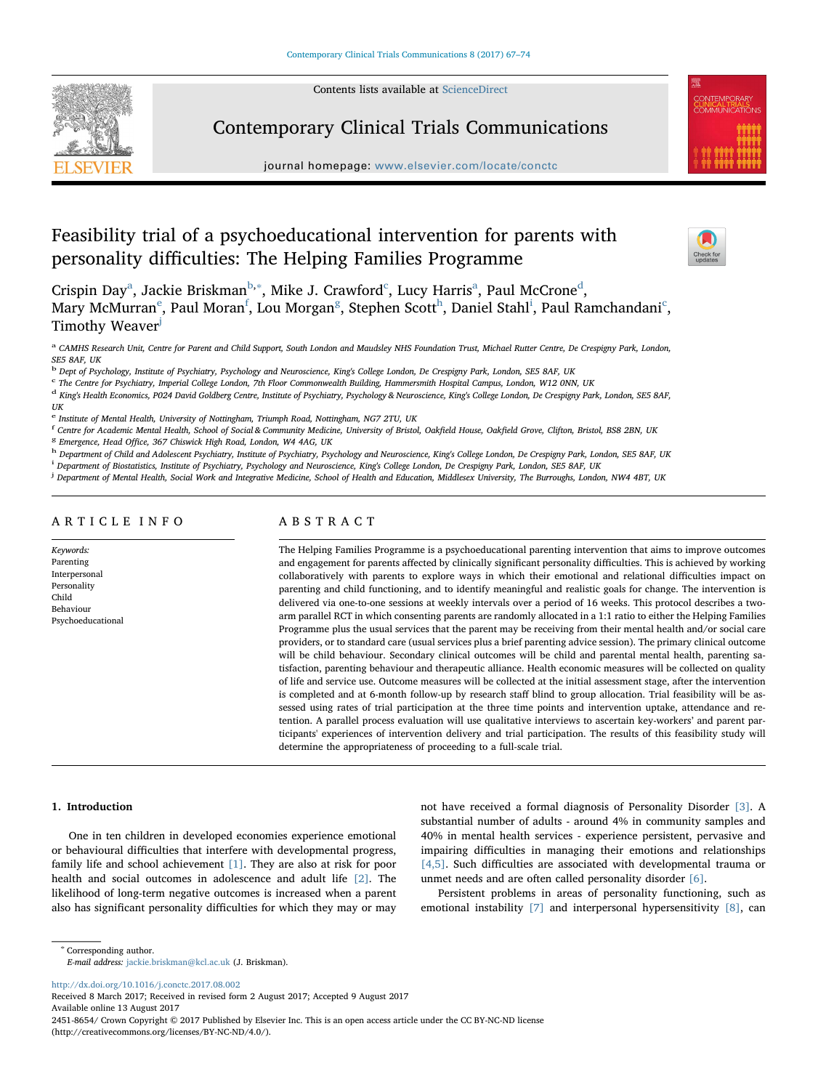Contents lists available at [ScienceDirect](http://www.sciencedirect.com/science/journal/24518654)



Contemporary Clinical Trials Communications

journal homepage: [www.elsevier.com/locate/conctc](http://www.elsevier.com/locate/conctc)

# Feasibility trial of a psychoeducational intervention for parents with personality difficulties: The Helping Families Programme



**NTEMPORAR** 

Crispin D[a](#page-0-0)y<sup>a</sup>, Jackie Briskman<sup>[b](#page-0-1),</sup>\*, Mike J. Crawford<sup>[c](#page-0-3)</sup>, Lucy Harris<sup>a</sup>, Paul McCrone<sup>[d](#page-0-4)</sup>, Mary M[c](#page-0-3)Murran $^{\rm e}$  $^{\rm e}$  $^{\rm e}$ , Paul Moran $^{\rm f}$  $^{\rm f}$  $^{\rm f}$ , Lou Mor[g](#page-0-7)an $^{\rm g}$ , Step[h](#page-0-8)en Scott $^{\rm h}$ , Dan[i](#page-0-9)el Stahl $^{\rm i}$ , Paul Ramchandani $^{\rm c}$ , Timothy Weaver<sup>[j](#page-0-10)</sup>

<span id="page-0-0"></span>a CAMHS Research Unit, Centre for Parent and Child Support, South London and Maudsley NHS Foundation Trust, Michael Rutter Centre, De Crespigny Park, London, SE5 8AF, UK

<span id="page-0-1"></span><sup>b</sup> Dept of Psychology, Institute of Psychiatry, Psychology and Neuroscience, King's College London, De Crespigny Park, London, SE5 8AF, UK

<span id="page-0-3"></span> $c$  The Centre for Psychiatry, Imperial College London, 7th Floor Commonwealth Building, Hammersmith Hospital Campus, London, W12 0NN, UK

<span id="page-0-4"></span><sup>d</sup> King's Health Economics, P024 David Goldberg Centre, Institute of Psychiatry, Psychology & Neuroscience, King's College London, De Crespigny Park, London, SE5 8AF, UK

<span id="page-0-5"></span><sup>e</sup> Institute of Mental Health, University of Nottingham, Triumph Road, Nottingham, NG7 2TU, UK

<span id="page-0-6"></span><sup>f</sup> Centre for Academic Mental Health, School of Social & Community Medicine, University of Bristol, Oakfield House, Oakfield Grove, Clifton, Bristol, BS8 2BN, UK

<span id="page-0-8"></span>

<span id="page-0-7"></span><sup>8</sup> Emergence, Head Office, 367 Chiswick High Road, London, W4 4AG, UK<br><sup>h</sup> Department of Child and Adolescent Psychiatry, Institute of Psychiatry, Psychology and Neuroscience, King's College London, De Crespigny Park, Lond

<span id="page-0-9"></span><sup>i</sup> Department of Biostatistics, Institute of Psychiatry, Psychology and Neuroscience, King's College London, De Crespigny Park, London, SE5 8AF, UK

<span id="page-0-10"></span>j Department of Mental Health, Social Work and Integrative Medicine, School of Health and Education, Middlesex University, The Burroughs, London, NW4 4BT, UK

# ARTICLE INFO

Keywords: Parenting Interpersonal Personality Child Behaviour Psychoeducational

# ABSTRACT

The Helping Families Programme is a psychoeducational parenting intervention that aims to improve outcomes and engagement for parents affected by clinically significant personality difficulties. This is achieved by working collaboratively with parents to explore ways in which their emotional and relational difficulties impact on parenting and child functioning, and to identify meaningful and realistic goals for change. The intervention is delivered via one-to-one sessions at weekly intervals over a period of 16 weeks. This protocol describes a twoarm parallel RCT in which consenting parents are randomly allocated in a 1:1 ratio to either the Helping Families Programme plus the usual services that the parent may be receiving from their mental health and/or social care providers, or to standard care (usual services plus a brief parenting advice session). The primary clinical outcome will be child behaviour. Secondary clinical outcomes will be child and parental mental health, parenting satisfaction, parenting behaviour and therapeutic alliance. Health economic measures will be collected on quality of life and service use. Outcome measures will be collected at the initial assessment stage, after the intervention is completed and at 6-month follow-up by research staff blind to group allocation. Trial feasibility will be assessed using rates of trial participation at the three time points and intervention uptake, attendance and retention. A parallel process evaluation will use qualitative interviews to ascertain key-workers' and parent participants' experiences of intervention delivery and trial participation. The results of this feasibility study will determine the appropriateness of proceeding to a full-scale trial.

#### 1. Introduction

One in ten children in developed economies experience emotional or behavioural difficulties that interfere with developmental progress, family life and school achievement [\[1\]](#page-6-0). They are also at risk for poor health and social outcomes in adolescence and adult life [\[2\].](#page-6-1) The likelihood of long-term negative outcomes is increased when a parent also has significant personality difficulties for which they may or may not have received a formal diagnosis of Personality Disorder [\[3\]](#page-6-2). A substantial number of adults - around 4% in community samples and 40% in mental health services - experience persistent, pervasive and impairing difficulties in managing their emotions and relationships [\[4,5\].](#page-6-3) Such difficulties are associated with developmental trauma or unmet needs and are often called personality disorder [\[6\].](#page-6-4)

Persistent problems in areas of personality functioning, such as emotional instability  $[7]$  and interpersonal hypersensitivity  $[8]$ , can

<span id="page-0-2"></span><sup>∗</sup> Corresponding author.

E-mail address: [jackie.briskman@kcl.ac.uk](mailto:jackie.briskman@kcl.ac.uk) (J. Briskman).

<http://dx.doi.org/10.1016/j.conctc.2017.08.002>

Received 8 March 2017; Received in revised form 2 August 2017; Accepted 9 August 2017 Available online 13 August 2017

2451-8654/ Crown Copyright © 2017 Published by Elsevier Inc. This is an open access article under the CC BY-NC-ND license (http://creativecommons.org/licenses/BY-NC-ND/4.0/).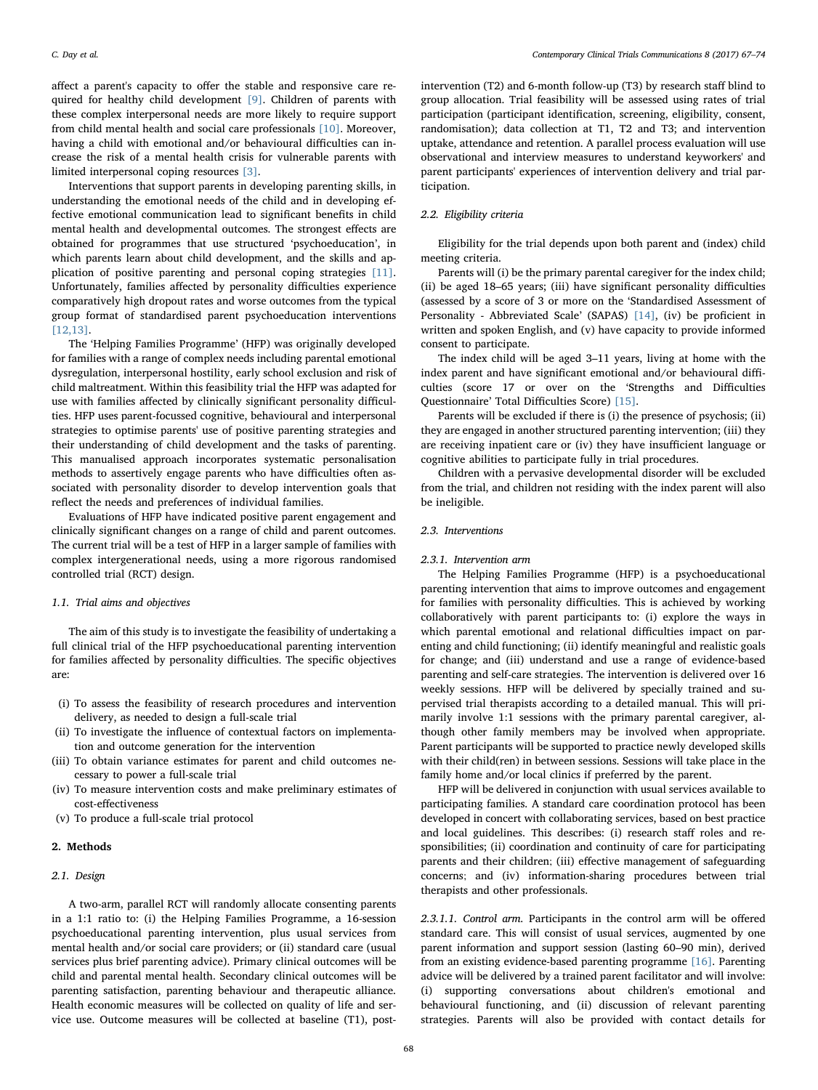affect a parent's capacity to offer the stable and responsive care re-quired for healthy child development [\[9\]](#page-6-7). Children of parents with these complex interpersonal needs are more likely to require support from child mental health and social care professionals [\[10\].](#page-6-8) Moreover, having a child with emotional and/or behavioural difficulties can increase the risk of a mental health crisis for vulnerable parents with limited interpersonal coping resources [\[3\].](#page-6-2)

Interventions that support parents in developing parenting skills, in understanding the emotional needs of the child and in developing effective emotional communication lead to significant benefits in child mental health and developmental outcomes. The strongest effects are obtained for programmes that use structured 'psychoeducation', in which parents learn about child development, and the skills and application of positive parenting and personal coping strategies [\[11\]](#page-6-9). Unfortunately, families affected by personality difficulties experience comparatively high dropout rates and worse outcomes from the typical group format of standardised parent psychoeducation interventions [\[12,13\].](#page-6-10)

The 'Helping Families Programme' (HFP) was originally developed for families with a range of complex needs including parental emotional dysregulation, interpersonal hostility, early school exclusion and risk of child maltreatment. Within this feasibility trial the HFP was adapted for use with families affected by clinically significant personality difficulties. HFP uses parent-focussed cognitive, behavioural and interpersonal strategies to optimise parents' use of positive parenting strategies and their understanding of child development and the tasks of parenting. This manualised approach incorporates systematic personalisation methods to assertively engage parents who have difficulties often associated with personality disorder to develop intervention goals that reflect the needs and preferences of individual families.

Evaluations of HFP have indicated positive parent engagement and clinically significant changes on a range of child and parent outcomes. The current trial will be a test of HFP in a larger sample of families with complex intergenerational needs, using a more rigorous randomised controlled trial (RCT) design.

# 1.1. Trial aims and objectives

The aim of this study is to investigate the feasibility of undertaking a full clinical trial of the HFP psychoeducational parenting intervention for families affected by personality difficulties. The specific objectives are:

- (i) To assess the feasibility of research procedures and intervention delivery, as needed to design a full-scale trial
- (ii) To investigate the influence of contextual factors on implementation and outcome generation for the intervention
- (iii) To obtain variance estimates for parent and child outcomes necessary to power a full-scale trial
- (iv) To measure intervention costs and make preliminary estimates of cost-effectiveness
- (v) To produce a full-scale trial protocol

# 2. Methods

# 2.1. Design

A two-arm, parallel RCT will randomly allocate consenting parents in a 1:1 ratio to: (i) the Helping Families Programme, a 16-session psychoeducational parenting intervention, plus usual services from mental health and/or social care providers; or (ii) standard care (usual services plus brief parenting advice). Primary clinical outcomes will be child and parental mental health. Secondary clinical outcomes will be parenting satisfaction, parenting behaviour and therapeutic alliance. Health economic measures will be collected on quality of life and service use. Outcome measures will be collected at baseline (T1), postintervention (T2) and 6-month follow-up (T3) by research staff blind to group allocation. Trial feasibility will be assessed using rates of trial participation (participant identification, screening, eligibility, consent, randomisation); data collection at T1, T2 and T3; and intervention uptake, attendance and retention. A parallel process evaluation will use observational and interview measures to understand keyworkers' and parent participants' experiences of intervention delivery and trial participation.

# 2.2. Eligibility criteria

Eligibility for the trial depends upon both parent and (index) child meeting criteria.

Parents will (i) be the primary parental caregiver for the index child; (ii) be aged 18–65 years; (iii) have significant personality difficulties (assessed by a score of 3 or more on the 'Standardised Assessment of Personality - Abbreviated Scale' (SAPAS) [\[14\]](#page-6-11), (iv) be proficient in written and spoken English, and (v) have capacity to provide informed consent to participate.

The index child will be aged 3–11 years, living at home with the index parent and have significant emotional and/or behavioural difficulties (score 17 or over on the 'Strengths and Difficulties Questionnaire' Total Difficulties Score) [\[15\]](#page-6-12).

Parents will be excluded if there is (i) the presence of psychosis; (ii) they are engaged in another structured parenting intervention; (iii) they are receiving inpatient care or (iv) they have insufficient language or cognitive abilities to participate fully in trial procedures.

Children with a pervasive developmental disorder will be excluded from the trial, and children not residing with the index parent will also be ineligible.

# 2.3. Interventions

#### 2.3.1. Intervention arm

The Helping Families Programme (HFP) is a psychoeducational parenting intervention that aims to improve outcomes and engagement for families with personality difficulties. This is achieved by working collaboratively with parent participants to: (i) explore the ways in which parental emotional and relational difficulties impact on parenting and child functioning; (ii) identify meaningful and realistic goals for change; and (iii) understand and use a range of evidence-based parenting and self-care strategies. The intervention is delivered over 16 weekly sessions. HFP will be delivered by specially trained and supervised trial therapists according to a detailed manual. This will primarily involve 1:1 sessions with the primary parental caregiver, although other family members may be involved when appropriate. Parent participants will be supported to practice newly developed skills with their child(ren) in between sessions. Sessions will take place in the family home and/or local clinics if preferred by the parent.

HFP will be delivered in conjunction with usual services available to participating families. A standard care coordination protocol has been developed in concert with collaborating services, based on best practice and local guidelines. This describes: (i) research staff roles and responsibilities; (ii) coordination and continuity of care for participating parents and their children; (iii) effective management of safeguarding concerns; and (iv) information-sharing procedures between trial therapists and other professionals.

2.3.1.1. Control arm. Participants in the control arm will be offered standard care. This will consist of usual services, augmented by one parent information and support session (lasting 60–90 min), derived from an existing evidence-based parenting programme [\[16\].](#page-6-13) Parenting advice will be delivered by a trained parent facilitator and will involve: (i) supporting conversations about children's emotional and behavioural functioning, and (ii) discussion of relevant parenting strategies. Parents will also be provided with contact details for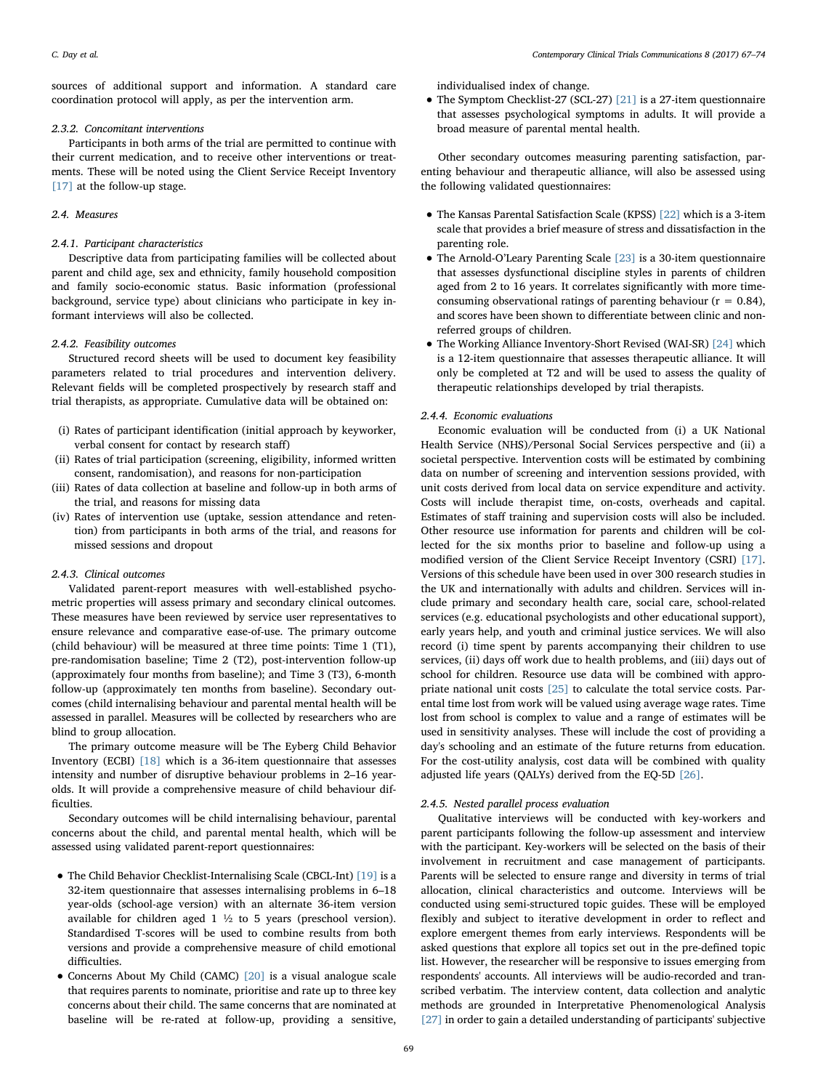sources of additional support and information. A standard care coordination protocol will apply, as per the intervention arm.

# 2.3.2. Concomitant interventions

Participants in both arms of the trial are permitted to continue with their current medication, and to receive other interventions or treatments. These will be noted using the Client Service Receipt Inventory [\[17\]](#page-6-14) at the follow-up stage.

# 2.4. Measures

#### 2.4.1. Participant characteristics

Descriptive data from participating families will be collected about parent and child age, sex and ethnicity, family household composition and family socio-economic status. Basic information (professional background, service type) about clinicians who participate in key informant interviews will also be collected.

#### 2.4.2. Feasibility outcomes

Structured record sheets will be used to document key feasibility parameters related to trial procedures and intervention delivery. Relevant fields will be completed prospectively by research staff and trial therapists, as appropriate. Cumulative data will be obtained on:

- (i) Rates of participant identification (initial approach by keyworker, verbal consent for contact by research staff)
- (ii) Rates of trial participation (screening, eligibility, informed written consent, randomisation), and reasons for non-participation
- (iii) Rates of data collection at baseline and follow-up in both arms of the trial, and reasons for missing data
- (iv) Rates of intervention use (uptake, session attendance and retention) from participants in both arms of the trial, and reasons for missed sessions and dropout

#### 2.4.3. Clinical outcomes

Validated parent-report measures with well-established psychometric properties will assess primary and secondary clinical outcomes. These measures have been reviewed by service user representatives to ensure relevance and comparative ease-of-use. The primary outcome (child behaviour) will be measured at three time points: Time 1 (T1), pre-randomisation baseline; Time 2 (T2), post-intervention follow-up (approximately four months from baseline); and Time 3 (T3), 6-month follow-up (approximately ten months from baseline). Secondary outcomes (child internalising behaviour and parental mental health will be assessed in parallel. Measures will be collected by researchers who are blind to group allocation.

The primary outcome measure will be The Eyberg Child Behavior Inventory (ECBI) [\[18\]](#page-6-15) which is a 36-item questionnaire that assesses intensity and number of disruptive behaviour problems in 2–16 yearolds. It will provide a comprehensive measure of child behaviour difficulties.

Secondary outcomes will be child internalising behaviour, parental concerns about the child, and parental mental health, which will be assessed using validated parent-report questionnaires:

- The Child Behavior Checklist-Internalising Scale (CBCL-Int) [\[19\]](#page-6-16) is a 32-item questionnaire that assesses internalising problems in 6–18 year-olds (school-age version) with an alternate 36-item version available for children aged 1 ½ to 5 years (preschool version). Standardised T-scores will be used to combine results from both versions and provide a comprehensive measure of child emotional difficulties.
- Concerns About My Child (CAMC) [\[20\]](#page-6-17) is a visual analogue scale that requires parents to nominate, prioritise and rate up to three key concerns about their child. The same concerns that are nominated at baseline will be re-rated at follow-up, providing a sensitive,

individualised index of change.

• The Symptom Checklist-27 (SCL-27) [\[21\]](#page-6-18) is a 27-item questionnaire that assesses psychological symptoms in adults. It will provide a broad measure of parental mental health.

Other secondary outcomes measuring parenting satisfaction, parenting behaviour and therapeutic alliance, will also be assessed using the following validated questionnaires:

- The Kansas Parental Satisfaction Scale (KPSS) [\[22\]](#page-6-19) which is a 3-item scale that provides a brief measure of stress and dissatisfaction in the parenting role.
- The Arnold-O'Leary Parenting Scale [\[23\]](#page-6-20) is a 30-item questionnaire that assesses dysfunctional discipline styles in parents of children aged from 2 to 16 years. It correlates significantly with more timeconsuming observational ratings of parenting behaviour ( $r = 0.84$ ), and scores have been shown to differentiate between clinic and nonreferred groups of children.
- The Working Alliance Inventory-Short Revised (WAI-SR) [\[24\]](#page-6-21) which is a 12-item questionnaire that assesses therapeutic alliance. It will only be completed at T2 and will be used to assess the quality of therapeutic relationships developed by trial therapists.

# 2.4.4. Economic evaluations

Economic evaluation will be conducted from (i) a UK National Health Service (NHS)/Personal Social Services perspective and (ii) a societal perspective. Intervention costs will be estimated by combining data on number of screening and intervention sessions provided, with unit costs derived from local data on service expenditure and activity. Costs will include therapist time, on-costs, overheads and capital. Estimates of staff training and supervision costs will also be included. Other resource use information for parents and children will be collected for the six months prior to baseline and follow-up using a modified version of the Client Service Receipt Inventory (CSRI) [\[17\]](#page-6-14). Versions of this schedule have been used in over 300 research studies in the UK and internationally with adults and children. Services will include primary and secondary health care, social care, school-related services (e.g. educational psychologists and other educational support), early years help, and youth and criminal justice services. We will also record (i) time spent by parents accompanying their children to use services, (ii) days off work due to health problems, and (iii) days out of school for children. Resource use data will be combined with appropriate national unit costs [\[25\]](#page-6-22) to calculate the total service costs. Parental time lost from work will be valued using average wage rates. Time lost from school is complex to value and a range of estimates will be used in sensitivity analyses. These will include the cost of providing a day's schooling and an estimate of the future returns from education. For the cost-utility analysis, cost data will be combined with quality adjusted life years (QALYs) derived from the EQ-5D [\[26\]](#page-6-23).

#### 2.4.5. Nested parallel process evaluation

Qualitative interviews will be conducted with key-workers and parent participants following the follow-up assessment and interview with the participant. Key-workers will be selected on the basis of their involvement in recruitment and case management of participants. Parents will be selected to ensure range and diversity in terms of trial allocation, clinical characteristics and outcome. Interviews will be conducted using semi-structured topic guides. These will be employed flexibly and subject to iterative development in order to reflect and explore emergent themes from early interviews. Respondents will be asked questions that explore all topics set out in the pre-defined topic list. However, the researcher will be responsive to issues emerging from respondents' accounts. All interviews will be audio-recorded and transcribed verbatim. The interview content, data collection and analytic methods are grounded in Interpretative Phenomenological Analysis [\[27\]](#page-6-24) in order to gain a detailed understanding of participants' subjective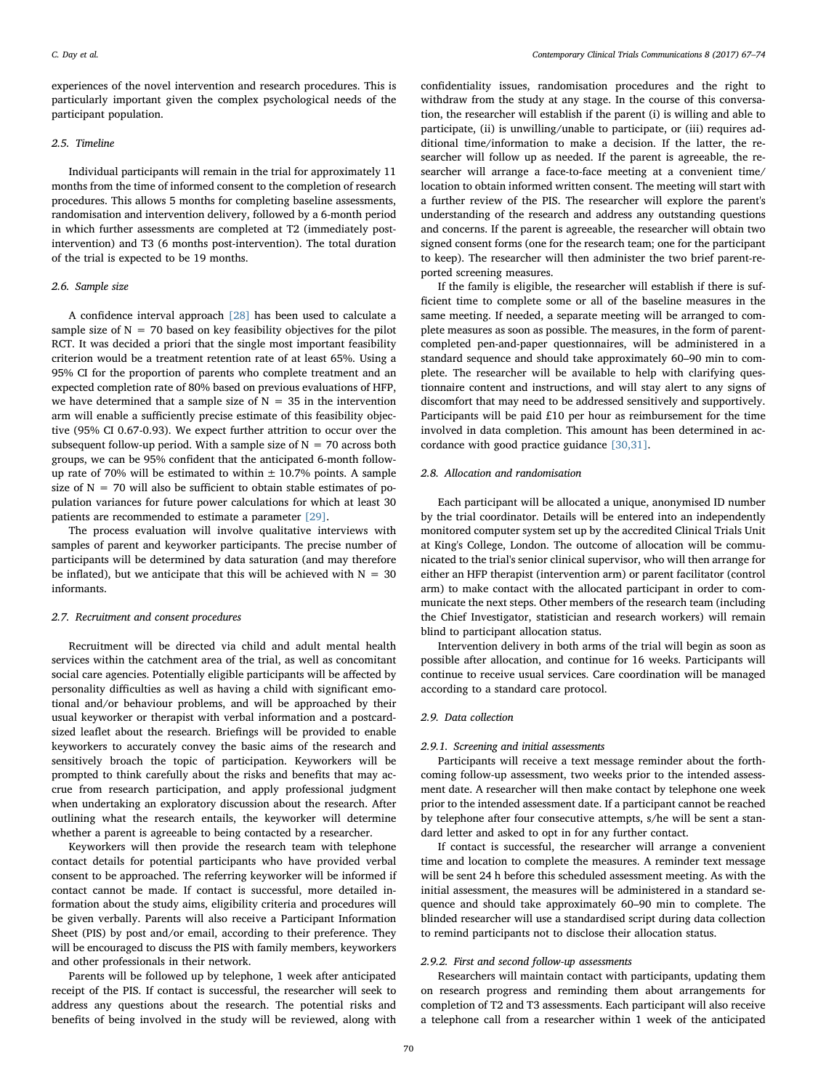experiences of the novel intervention and research procedures. This is particularly important given the complex psychological needs of the participant population.

#### 2.5. Timeline

Individual participants will remain in the trial for approximately 11 months from the time of informed consent to the completion of research procedures. This allows 5 months for completing baseline assessments, randomisation and intervention delivery, followed by a 6-month period in which further assessments are completed at T2 (immediately postintervention) and T3 (6 months post-intervention). The total duration of the trial is expected to be 19 months.

# 2.6. Sample size

A confidence interval approach [\[28\]](#page-6-25) has been used to calculate a sample size of  $N = 70$  based on key feasibility objectives for the pilot RCT. It was decided a priori that the single most important feasibility criterion would be a treatment retention rate of at least 65%. Using a 95% CI for the proportion of parents who complete treatment and an expected completion rate of 80% based on previous evaluations of HFP, we have determined that a sample size of  $N = 35$  in the intervention arm will enable a sufficiently precise estimate of this feasibility objective (95% CI 0.67-0.93). We expect further attrition to occur over the subsequent follow-up period. With a sample size of  $N = 70$  across both groups, we can be 95% confident that the anticipated 6-month followup rate of 70% will be estimated to within  $\pm$  10.7% points. A sample size of  $N = 70$  will also be sufficient to obtain stable estimates of population variances for future power calculations for which at least 30 patients are recommended to estimate a parameter [\[29\].](#page-7-0)

The process evaluation will involve qualitative interviews with samples of parent and keyworker participants. The precise number of participants will be determined by data saturation (and may therefore be inflated), but we anticipate that this will be achieved with  $N = 30$ informants.

#### 2.7. Recruitment and consent procedures

Recruitment will be directed via child and adult mental health services within the catchment area of the trial, as well as concomitant social care agencies. Potentially eligible participants will be affected by personality difficulties as well as having a child with significant emotional and/or behaviour problems, and will be approached by their usual keyworker or therapist with verbal information and a postcardsized leaflet about the research. Briefings will be provided to enable keyworkers to accurately convey the basic aims of the research and sensitively broach the topic of participation. Keyworkers will be prompted to think carefully about the risks and benefits that may accrue from research participation, and apply professional judgment when undertaking an exploratory discussion about the research. After outlining what the research entails, the keyworker will determine whether a parent is agreeable to being contacted by a researcher.

Keyworkers will then provide the research team with telephone contact details for potential participants who have provided verbal consent to be approached. The referring keyworker will be informed if contact cannot be made. If contact is successful, more detailed information about the study aims, eligibility criteria and procedures will be given verbally. Parents will also receive a Participant Information Sheet (PIS) by post and/or email, according to their preference. They will be encouraged to discuss the PIS with family members, keyworkers and other professionals in their network.

Parents will be followed up by telephone, 1 week after anticipated receipt of the PIS. If contact is successful, the researcher will seek to address any questions about the research. The potential risks and benefits of being involved in the study will be reviewed, along with

confidentiality issues, randomisation procedures and the right to withdraw from the study at any stage. In the course of this conversation, the researcher will establish if the parent (i) is willing and able to participate, (ii) is unwilling/unable to participate, or (iii) requires additional time/information to make a decision. If the latter, the researcher will follow up as needed. If the parent is agreeable, the researcher will arrange a face-to-face meeting at a convenient time/ location to obtain informed written consent. The meeting will start with a further review of the PIS. The researcher will explore the parent's understanding of the research and address any outstanding questions and concerns. If the parent is agreeable, the researcher will obtain two signed consent forms (one for the research team; one for the participant to keep). The researcher will then administer the two brief parent-reported screening measures.

If the family is eligible, the researcher will establish if there is sufficient time to complete some or all of the baseline measures in the same meeting. If needed, a separate meeting will be arranged to complete measures as soon as possible. The measures, in the form of parentcompleted pen-and-paper questionnaires, will be administered in a standard sequence and should take approximately 60–90 min to complete. The researcher will be available to help with clarifying questionnaire content and instructions, and will stay alert to any signs of discomfort that may need to be addressed sensitively and supportively. Participants will be paid £10 per hour as reimbursement for the time involved in data completion. This amount has been determined in accordance with good practice guidance [\[30,31\].](#page-7-1)

# 2.8. Allocation and randomisation

Each participant will be allocated a unique, anonymised ID number by the trial coordinator. Details will be entered into an independently monitored computer system set up by the accredited Clinical Trials Unit at King's College, London. The outcome of allocation will be communicated to the trial's senior clinical supervisor, who will then arrange for either an HFP therapist (intervention arm) or parent facilitator (control arm) to make contact with the allocated participant in order to communicate the next steps. Other members of the research team (including the Chief Investigator, statistician and research workers) will remain blind to participant allocation status.

Intervention delivery in both arms of the trial will begin as soon as possible after allocation, and continue for 16 weeks. Participants will continue to receive usual services. Care coordination will be managed according to a standard care protocol.

# 2.9. Data collection

#### 2.9.1. Screening and initial assessments

Participants will receive a text message reminder about the forthcoming follow-up assessment, two weeks prior to the intended assessment date. A researcher will then make contact by telephone one week prior to the intended assessment date. If a participant cannot be reached by telephone after four consecutive attempts, s/he will be sent a standard letter and asked to opt in for any further contact.

If contact is successful, the researcher will arrange a convenient time and location to complete the measures. A reminder text message will be sent 24 h before this scheduled assessment meeting. As with the initial assessment, the measures will be administered in a standard sequence and should take approximately 60–90 min to complete. The blinded researcher will use a standardised script during data collection to remind participants not to disclose their allocation status.

#### 2.9.2. First and second follow-up assessments

Researchers will maintain contact with participants, updating them on research progress and reminding them about arrangements for completion of T2 and T3 assessments. Each participant will also receive a telephone call from a researcher within 1 week of the anticipated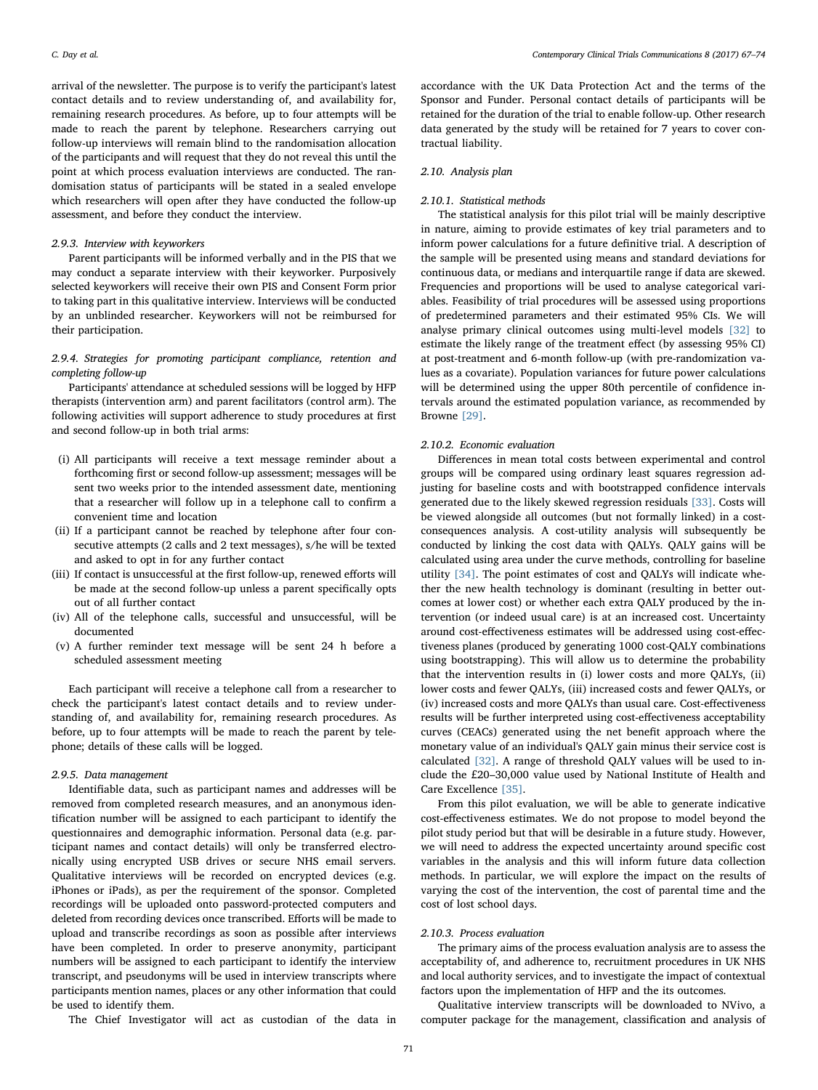arrival of the newsletter. The purpose is to verify the participant's latest contact details and to review understanding of, and availability for, remaining research procedures. As before, up to four attempts will be made to reach the parent by telephone. Researchers carrying out follow-up interviews will remain blind to the randomisation allocation of the participants and will request that they do not reveal this until the point at which process evaluation interviews are conducted. The randomisation status of participants will be stated in a sealed envelope which researchers will open after they have conducted the follow-up assessment, and before they conduct the interview.

# 2.9.3. Interview with keyworkers

Parent participants will be informed verbally and in the PIS that we may conduct a separate interview with their keyworker. Purposively selected keyworkers will receive their own PIS and Consent Form prior to taking part in this qualitative interview. Interviews will be conducted by an unblinded researcher. Keyworkers will not be reimbursed for their participation.

# 2.9.4. Strategies for promoting participant compliance, retention and completing follow-up

Participants' attendance at scheduled sessions will be logged by HFP therapists (intervention arm) and parent facilitators (control arm). The following activities will support adherence to study procedures at first and second follow-up in both trial arms:

- (i) All participants will receive a text message reminder about a forthcoming first or second follow-up assessment; messages will be sent two weeks prior to the intended assessment date, mentioning that a researcher will follow up in a telephone call to confirm a convenient time and location
- (ii) If a participant cannot be reached by telephone after four consecutive attempts (2 calls and 2 text messages), s/he will be texted and asked to opt in for any further contact
- (iii) If contact is unsuccessful at the first follow-up, renewed efforts will be made at the second follow-up unless a parent specifically opts out of all further contact
- (iv) All of the telephone calls, successful and unsuccessful, will be documented
- (v) A further reminder text message will be sent 24 h before a scheduled assessment meeting

Each participant will receive a telephone call from a researcher to check the participant's latest contact details and to review understanding of, and availability for, remaining research procedures. As before, up to four attempts will be made to reach the parent by telephone; details of these calls will be logged.

#### 2.9.5. Data management

Identifiable data, such as participant names and addresses will be removed from completed research measures, and an anonymous identification number will be assigned to each participant to identify the questionnaires and demographic information. Personal data (e.g. participant names and contact details) will only be transferred electronically using encrypted USB drives or secure NHS email servers. Qualitative interviews will be recorded on encrypted devices (e.g. iPhones or iPads), as per the requirement of the sponsor. Completed recordings will be uploaded onto password-protected computers and deleted from recording devices once transcribed. Efforts will be made to upload and transcribe recordings as soon as possible after interviews have been completed. In order to preserve anonymity, participant numbers will be assigned to each participant to identify the interview transcript, and pseudonyms will be used in interview transcripts where participants mention names, places or any other information that could be used to identify them.

The Chief Investigator will act as custodian of the data in

accordance with the UK Data Protection Act and the terms of the Sponsor and Funder. Personal contact details of participants will be retained for the duration of the trial to enable follow-up. Other research data generated by the study will be retained for 7 years to cover contractual liability.

# 2.10. Analysis plan

#### 2.10.1. Statistical methods

The statistical analysis for this pilot trial will be mainly descriptive in nature, aiming to provide estimates of key trial parameters and to inform power calculations for a future definitive trial. A description of the sample will be presented using means and standard deviations for continuous data, or medians and interquartile range if data are skewed. Frequencies and proportions will be used to analyse categorical variables. Feasibility of trial procedures will be assessed using proportions of predetermined parameters and their estimated 95% CIs. We will analyse primary clinical outcomes using multi-level models [\[32\]](#page-7-2) to estimate the likely range of the treatment effect (by assessing 95% CI) at post-treatment and 6-month follow-up (with pre-randomization values as a covariate). Population variances for future power calculations will be determined using the upper 80th percentile of confidence intervals around the estimated population variance, as recommended by Browne [\[29\].](#page-7-0)

#### 2.10.2. Economic evaluation

Differences in mean total costs between experimental and control groups will be compared using ordinary least squares regression adjusting for baseline costs and with bootstrapped confidence intervals generated due to the likely skewed regression residuals [\[33\]](#page-7-3). Costs will be viewed alongside all outcomes (but not formally linked) in a costconsequences analysis. A cost-utility analysis will subsequently be conducted by linking the cost data with QALYs. QALY gains will be calculated using area under the curve methods, controlling for baseline utility [\[34\].](#page-7-4) The point estimates of cost and QALYs will indicate whether the new health technology is dominant (resulting in better outcomes at lower cost) or whether each extra QALY produced by the intervention (or indeed usual care) is at an increased cost. Uncertainty around cost-effectiveness estimates will be addressed using cost-effectiveness planes (produced by generating 1000 cost-QALY combinations using bootstrapping). This will allow us to determine the probability that the intervention results in (i) lower costs and more QALYs, (ii) lower costs and fewer QALYs, (iii) increased costs and fewer QALYs, or (iv) increased costs and more QALYs than usual care. Cost-effectiveness results will be further interpreted using cost-effectiveness acceptability curves (CEACs) generated using the net benefit approach where the monetary value of an individual's QALY gain minus their service cost is calculated [\[32\]](#page-7-2). A range of threshold QALY values will be used to include the £20–30,000 value used by National Institute of Health and Care Excellence [\[35\].](#page-7-5)

From this pilot evaluation, we will be able to generate indicative cost-effectiveness estimates. We do not propose to model beyond the pilot study period but that will be desirable in a future study. However, we will need to address the expected uncertainty around specific cost variables in the analysis and this will inform future data collection methods. In particular, we will explore the impact on the results of varying the cost of the intervention, the cost of parental time and the cost of lost school days.

#### 2.10.3. Process evaluation

The primary aims of the process evaluation analysis are to assess the acceptability of, and adherence to, recruitment procedures in UK NHS and local authority services, and to investigate the impact of contextual factors upon the implementation of HFP and the its outcomes.

Qualitative interview transcripts will be downloaded to NVivo, a computer package for the management, classification and analysis of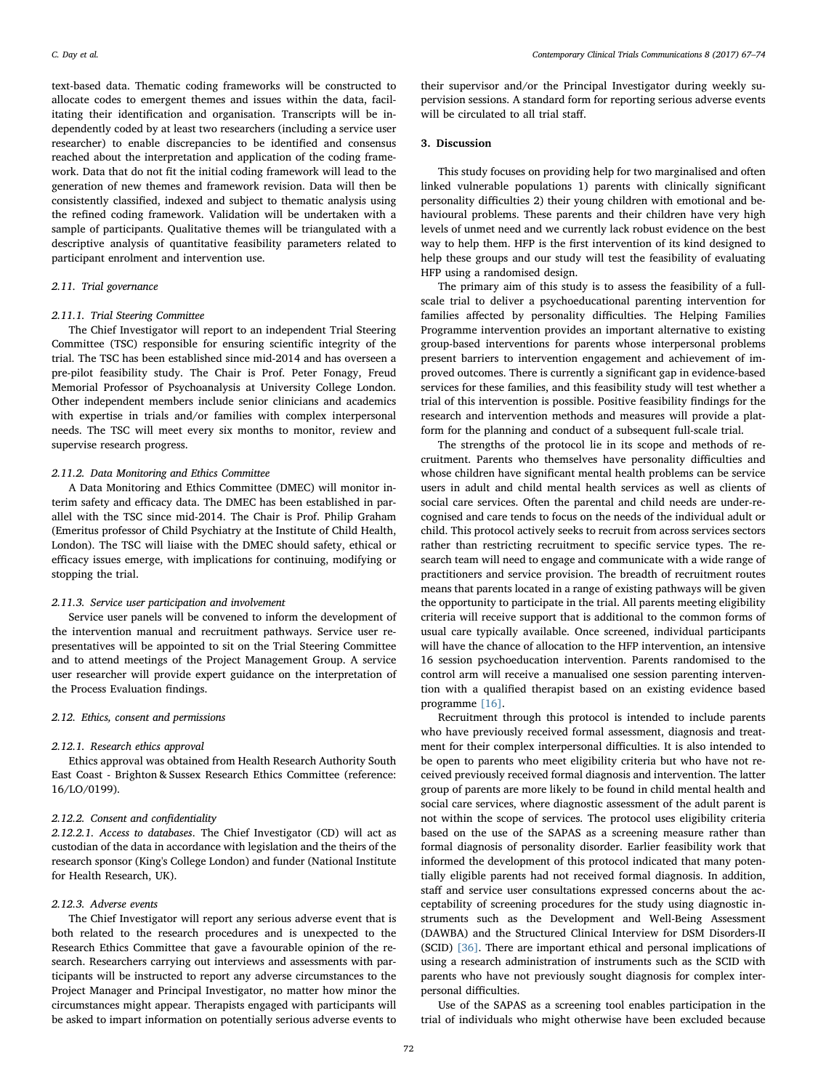text-based data. Thematic coding frameworks will be constructed to allocate codes to emergent themes and issues within the data, facilitating their identification and organisation. Transcripts will be independently coded by at least two researchers (including a service user researcher) to enable discrepancies to be identified and consensus reached about the interpretation and application of the coding framework. Data that do not fit the initial coding framework will lead to the generation of new themes and framework revision. Data will then be consistently classified, indexed and subject to thematic analysis using the refined coding framework. Validation will be undertaken with a sample of participants. Qualitative themes will be triangulated with a descriptive analysis of quantitative feasibility parameters related to participant enrolment and intervention use.

# 2.11. Trial governance

# 2.11.1. Trial Steering Committee

The Chief Investigator will report to an independent Trial Steering Committee (TSC) responsible for ensuring scientific integrity of the trial. The TSC has been established since mid-2014 and has overseen a pre-pilot feasibility study. The Chair is Prof. Peter Fonagy, Freud Memorial Professor of Psychoanalysis at University College London. Other independent members include senior clinicians and academics with expertise in trials and/or families with complex interpersonal needs. The TSC will meet every six months to monitor, review and supervise research progress.

# 2.11.2. Data Monitoring and Ethics Committee

A Data Monitoring and Ethics Committee (DMEC) will monitor interim safety and efficacy data. The DMEC has been established in parallel with the TSC since mid-2014. The Chair is Prof. Philip Graham (Emeritus professor of Child Psychiatry at the Institute of Child Health, London). The TSC will liaise with the DMEC should safety, ethical or efficacy issues emerge, with implications for continuing, modifying or stopping the trial.

#### 2.11.3. Service user participation and involvement

Service user panels will be convened to inform the development of the intervention manual and recruitment pathways. Service user representatives will be appointed to sit on the Trial Steering Committee and to attend meetings of the Project Management Group. A service user researcher will provide expert guidance on the interpretation of the Process Evaluation findings.

#### 2.12. Ethics, consent and permissions

#### 2.12.1. Research ethics approval

Ethics approval was obtained from Health Research Authority South East Coast - Brighton & Sussex Research Ethics Committee (reference: 16/LO/0199).

#### 2.12.2. Consent and confidentiality

2.12.2.1. Access to databases. The Chief Investigator (CD) will act as custodian of the data in accordance with legislation and the theirs of the research sponsor (King's College London) and funder (National Institute for Health Research, UK).

#### 2.12.3. Adverse events

The Chief Investigator will report any serious adverse event that is both related to the research procedures and is unexpected to the Research Ethics Committee that gave a favourable opinion of the research. Researchers carrying out interviews and assessments with participants will be instructed to report any adverse circumstances to the Project Manager and Principal Investigator, no matter how minor the circumstances might appear. Therapists engaged with participants will be asked to impart information on potentially serious adverse events to

their supervisor and/or the Principal Investigator during weekly supervision sessions. A standard form for reporting serious adverse events will be circulated to all trial staff.

#### 3. Discussion

This study focuses on providing help for two marginalised and often linked vulnerable populations 1) parents with clinically significant personality difficulties 2) their young children with emotional and behavioural problems. These parents and their children have very high levels of unmet need and we currently lack robust evidence on the best way to help them. HFP is the first intervention of its kind designed to help these groups and our study will test the feasibility of evaluating HFP using a randomised design.

The primary aim of this study is to assess the feasibility of a fullscale trial to deliver a psychoeducational parenting intervention for families affected by personality difficulties. The Helping Families Programme intervention provides an important alternative to existing group-based interventions for parents whose interpersonal problems present barriers to intervention engagement and achievement of improved outcomes. There is currently a significant gap in evidence-based services for these families, and this feasibility study will test whether a trial of this intervention is possible. Positive feasibility findings for the research and intervention methods and measures will provide a platform for the planning and conduct of a subsequent full-scale trial.

The strengths of the protocol lie in its scope and methods of recruitment. Parents who themselves have personality difficulties and whose children have significant mental health problems can be service users in adult and child mental health services as well as clients of social care services. Often the parental and child needs are under-recognised and care tends to focus on the needs of the individual adult or child. This protocol actively seeks to recruit from across services sectors rather than restricting recruitment to specific service types. The research team will need to engage and communicate with a wide range of practitioners and service provision. The breadth of recruitment routes means that parents located in a range of existing pathways will be given the opportunity to participate in the trial. All parents meeting eligibility criteria will receive support that is additional to the common forms of usual care typically available. Once screened, individual participants will have the chance of allocation to the HFP intervention, an intensive 16 session psychoeducation intervention. Parents randomised to the control arm will receive a manualised one session parenting intervention with a qualified therapist based on an existing evidence based programme [\[16\].](#page-6-13)

Recruitment through this protocol is intended to include parents who have previously received formal assessment, diagnosis and treatment for their complex interpersonal difficulties. It is also intended to be open to parents who meet eligibility criteria but who have not received previously received formal diagnosis and intervention. The latter group of parents are more likely to be found in child mental health and social care services, where diagnostic assessment of the adult parent is not within the scope of services. The protocol uses eligibility criteria based on the use of the SAPAS as a screening measure rather than formal diagnosis of personality disorder. Earlier feasibility work that informed the development of this protocol indicated that many potentially eligible parents had not received formal diagnosis. In addition, staff and service user consultations expressed concerns about the acceptability of screening procedures for the study using diagnostic instruments such as the Development and Well-Being Assessment (DAWBA) and the Structured Clinical Interview for DSM Disorders-II (SCID) [\[36\].](#page-7-6) There are important ethical and personal implications of using a research administration of instruments such as the SCID with parents who have not previously sought diagnosis for complex interpersonal difficulties.

Use of the SAPAS as a screening tool enables participation in the trial of individuals who might otherwise have been excluded because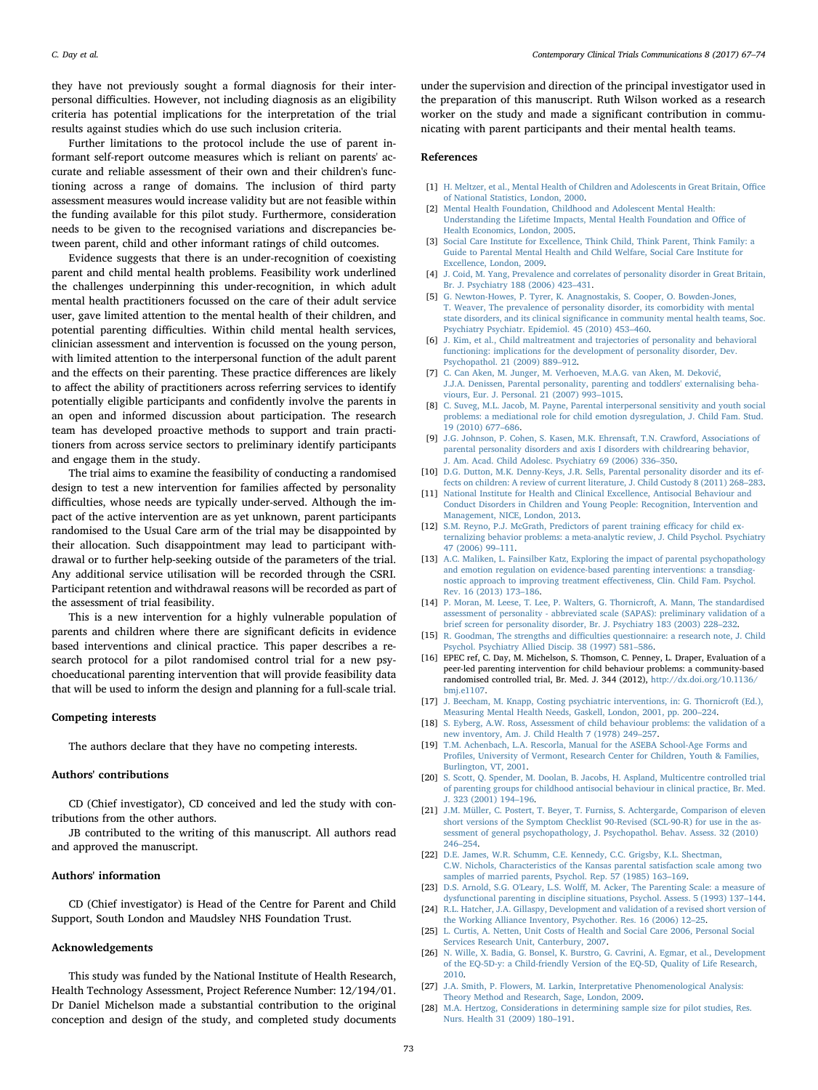they have not previously sought a formal diagnosis for their interpersonal difficulties. However, not including diagnosis as an eligibility criteria has potential implications for the interpretation of the trial results against studies which do use such inclusion criteria.

Further limitations to the protocol include the use of parent informant self-report outcome measures which is reliant on parents' accurate and reliable assessment of their own and their children's functioning across a range of domains. The inclusion of third party assessment measures would increase validity but are not feasible within the funding available for this pilot study. Furthermore, consideration needs to be given to the recognised variations and discrepancies between parent, child and other informant ratings of child outcomes.

Evidence suggests that there is an under-recognition of coexisting parent and child mental health problems. Feasibility work underlined the challenges underpinning this under-recognition, in which adult mental health practitioners focussed on the care of their adult service user, gave limited attention to the mental health of their children, and potential parenting difficulties. Within child mental health services, clinician assessment and intervention is focussed on the young person, with limited attention to the interpersonal function of the adult parent and the effects on their parenting. These practice differences are likely to affect the ability of practitioners across referring services to identify potentially eligible participants and confidently involve the parents in an open and informed discussion about participation. The research team has developed proactive methods to support and train practitioners from across service sectors to preliminary identify participants and engage them in the study.

The trial aims to examine the feasibility of conducting a randomised design to test a new intervention for families affected by personality difficulties, whose needs are typically under-served. Although the impact of the active intervention are as yet unknown, parent participants randomised to the Usual Care arm of the trial may be disappointed by their allocation. Such disappointment may lead to participant withdrawal or to further help-seeking outside of the parameters of the trial. Any additional service utilisation will be recorded through the CSRI. Participant retention and withdrawal reasons will be recorded as part of the assessment of trial feasibility.

This is a new intervention for a highly vulnerable population of parents and children where there are significant deficits in evidence based interventions and clinical practice. This paper describes a research protocol for a pilot randomised control trial for a new psychoeducational parenting intervention that will provide feasibility data that will be used to inform the design and planning for a full-scale trial.

#### Competing interests

The authors declare that they have no competing interests.

#### Authors' contributions

CD (Chief investigator), CD conceived and led the study with contributions from the other authors.

JB contributed to the writing of this manuscript. All authors read and approved the manuscript.

# Authors' information

CD (Chief investigator) is Head of the Centre for Parent and Child Support, South London and Maudsley NHS Foundation Trust.

#### Acknowledgements

This study was funded by the National Institute of Health Research, Health Technology Assessment, Project Reference Number: 12/194/01. Dr Daniel Michelson made a substantial contribution to the original conception and design of the study, and completed study documents

under the supervision and direction of the principal investigator used in the preparation of this manuscript. Ruth Wilson worked as a research worker on the study and made a significant contribution in communicating with parent participants and their mental health teams.

#### References

- <span id="page-6-0"></span>[1] [H. Meltzer, et al., Mental Health of Children and Adolescents in Great Britain, O](http://refhub.elsevier.com/S2451-8654(17)30050-9/sref1)ffice [of National Statistics, London, 2000.](http://refhub.elsevier.com/S2451-8654(17)30050-9/sref1)
- <span id="page-6-1"></span>[2] [Mental Health Foundation, Childhood and Adolescent Mental Health:](http://refhub.elsevier.com/S2451-8654(17)30050-9/sref2) [Understanding the Lifetime Impacts, Mental Health Foundation and O](http://refhub.elsevier.com/S2451-8654(17)30050-9/sref2)ffice of [Health Economics, London, 2005.](http://refhub.elsevier.com/S2451-8654(17)30050-9/sref2)
- <span id="page-6-2"></span>[3] [Social Care Institute for Excellence, Think Child, Think Parent, Think Family: a](http://refhub.elsevier.com/S2451-8654(17)30050-9/sref3) [Guide to Parental Mental Health and Child Welfare, Social Care Institute for](http://refhub.elsevier.com/S2451-8654(17)30050-9/sref3) [Excellence, London, 2009.](http://refhub.elsevier.com/S2451-8654(17)30050-9/sref3)
- <span id="page-6-3"></span>[4] [J. Coid, M. Yang, Prevalence and correlates of personality disorder in Great Britain,](http://refhub.elsevier.com/S2451-8654(17)30050-9/sref4) [Br. J. Psychiatry 188 \(2006\) 423](http://refhub.elsevier.com/S2451-8654(17)30050-9/sref4)–431.
- [5] [G. Newton-Howes, P. Tyrer, K. Anagnostakis, S. Cooper, O. Bowden-Jones,](http://refhub.elsevier.com/S2451-8654(17)30050-9/sref5) [T. Weaver, The prevalence of personality disorder, its comorbidity with mental](http://refhub.elsevier.com/S2451-8654(17)30050-9/sref5) state disorders, and its clinical signifi[cance in community mental health teams, Soc.](http://refhub.elsevier.com/S2451-8654(17)30050-9/sref5) [Psychiatry Psychiatr. Epidemiol. 45 \(2010\) 453](http://refhub.elsevier.com/S2451-8654(17)30050-9/sref5)–460.
- <span id="page-6-4"></span>[6] [J. Kim, et al., Child maltreatment and trajectories of personality and behavioral](http://refhub.elsevier.com/S2451-8654(17)30050-9/sref6) [functioning: implications for the development of personality disorder, Dev.](http://refhub.elsevier.com/S2451-8654(17)30050-9/sref6) [Psychopathol. 21 \(2009\) 889](http://refhub.elsevier.com/S2451-8654(17)30050-9/sref6)–912.
- <span id="page-6-5"></span>[7] [C. Can Aken, M. Junger, M. Verhoeven, M.A.G. van Aken, M. Dekovi](http://refhub.elsevier.com/S2451-8654(17)30050-9/sref7)ć, [J.J.A. Denissen, Parental personality, parenting and toddlers' externalising beha](http://refhub.elsevier.com/S2451-8654(17)30050-9/sref7)[viours, Eur. J. Personal. 21 \(2007\) 993](http://refhub.elsevier.com/S2451-8654(17)30050-9/sref7)–1015.
- <span id="page-6-6"></span>[8] [C. Suveg, M.L. Jacob, M. Payne, Parental interpersonal sensitivity and youth social](http://refhub.elsevier.com/S2451-8654(17)30050-9/sref8) [problems: a mediational role for child emotion dysregulation, J. Child Fam. Stud.](http://refhub.elsevier.com/S2451-8654(17)30050-9/sref8) [19 \(2010\) 677](http://refhub.elsevier.com/S2451-8654(17)30050-9/sref8)–686.
- <span id="page-6-7"></span>[9] [J.G. Johnson, P. Cohen, S. Kasen, M.K. Ehrensaft, T.N. Crawford, Associations of](http://refhub.elsevier.com/S2451-8654(17)30050-9/sref9) [parental personality disorders and axis I disorders with childrearing behavior,](http://refhub.elsevier.com/S2451-8654(17)30050-9/sref9) [J. Am. Acad. Child Adolesc. Psychiatry 69 \(2006\) 336](http://refhub.elsevier.com/S2451-8654(17)30050-9/sref9)–350.
- <span id="page-6-8"></span>[10] [D.G. Dutton, M.K. Denny-Keys, J.R. Sells, Parental personality disorder and its ef](http://refhub.elsevier.com/S2451-8654(17)30050-9/sref10)[fects on children: A review of current literature, J. Child Custody 8 \(2011\) 268](http://refhub.elsevier.com/S2451-8654(17)30050-9/sref10)–283.
- <span id="page-6-9"></span>[11] [National Institute for Health and Clinical Excellence, Antisocial Behaviour and](http://refhub.elsevier.com/S2451-8654(17)30050-9/sref11) [Conduct Disorders in Children and Young People: Recognition, Intervention and](http://refhub.elsevier.com/S2451-8654(17)30050-9/sref11) [Management, NICE, London, 2013.](http://refhub.elsevier.com/S2451-8654(17)30050-9/sref11)
- <span id="page-6-10"></span>[12] [S.M. Reyno, P.J. McGrath, Predictors of parent training e](http://refhub.elsevier.com/S2451-8654(17)30050-9/sref12)fficacy for child ex[ternalizing behavior problems: a meta-analytic review, J. Child Psychol. Psychiatry](http://refhub.elsevier.com/S2451-8654(17)30050-9/sref12) [47 \(2006\) 99](http://refhub.elsevier.com/S2451-8654(17)30050-9/sref12)–111.
- [13] [A.C. Maliken, L. Fainsilber Katz, Exploring the impact of parental psychopathology](http://refhub.elsevier.com/S2451-8654(17)30050-9/sref13) [and emotion regulation on evidence-based parenting interventions: a transdiag](http://refhub.elsevier.com/S2451-8654(17)30050-9/sref13)[nostic approach to improving treatment e](http://refhub.elsevier.com/S2451-8654(17)30050-9/sref13)ffectiveness, Clin. Child Fam. Psychol. [Rev. 16 \(2013\) 173](http://refhub.elsevier.com/S2451-8654(17)30050-9/sref13)–186.
- <span id="page-6-11"></span>[14] [P. Moran, M. Leese, T. Lee, P. Walters, G. Thornicroft, A. Mann, The standardised](http://refhub.elsevier.com/S2451-8654(17)30050-9/sref14) [assessment of personality - abbreviated scale \(SAPAS\): preliminary validation of a](http://refhub.elsevier.com/S2451-8654(17)30050-9/sref14) [brief screen for personality disorder, Br. J. Psychiatry 183 \(2003\) 228](http://refhub.elsevier.com/S2451-8654(17)30050-9/sref14)–232.
- <span id="page-6-12"></span>[15] R. Goodman, The strengths and difficulties [questionnaire: a research note, J. Child](http://refhub.elsevier.com/S2451-8654(17)30050-9/sref15) [Psychol. Psychiatry Allied Discip. 38 \(1997\) 581](http://refhub.elsevier.com/S2451-8654(17)30050-9/sref15)–586.
- <span id="page-6-13"></span>[16] EPEC ref, C. Day, M. Michelson, S. Thomson, C. Penney, L. Draper, Evaluation of a peer-led parenting intervention for child behaviour problems: a community-based randomised controlled trial, Br. Med. J. 344 (2012), [http://dx.doi.org/10.1136/](http://dx.doi.org/10.1136/bmj.e1107) [bmj.e1107.](http://dx.doi.org/10.1136/bmj.e1107)
- <span id="page-6-14"></span>[17] [J. Beecham, M. Knapp, Costing psychiatric interventions, in: G. Thornicroft \(Ed.\),](http://refhub.elsevier.com/S2451-8654(17)30050-9/sref17) [Measuring Mental Health Needs, Gaskell, London, 2001, pp. 200](http://refhub.elsevier.com/S2451-8654(17)30050-9/sref17)–224.
- <span id="page-6-15"></span>[18] [S. Eyberg, A.W. Ross, Assessment of child behaviour problems: the validation of a](http://refhub.elsevier.com/S2451-8654(17)30050-9/sref18) [new inventory, Am. J. Child Health 7 \(1978\) 249](http://refhub.elsevier.com/S2451-8654(17)30050-9/sref18)–257.
- <span id="page-6-16"></span>[19] [T.M. Achenbach, L.A. Rescorla, Manual for the ASEBA School-Age Forms and](http://refhub.elsevier.com/S2451-8654(17)30050-9/sref19) Profi[les, University of Vermont, Research Center for Children, Youth & Families,](http://refhub.elsevier.com/S2451-8654(17)30050-9/sref19) [Burlington, VT, 2001.](http://refhub.elsevier.com/S2451-8654(17)30050-9/sref19)
- <span id="page-6-17"></span>[20] [S. Scott, Q. Spender, M. Doolan, B. Jacobs, H. Aspland, Multicentre controlled trial](http://refhub.elsevier.com/S2451-8654(17)30050-9/sref20) [of parenting groups for childhood antisocial behaviour in clinical practice, Br. Med.](http://refhub.elsevier.com/S2451-8654(17)30050-9/sref20) [J. 323 \(2001\) 194](http://refhub.elsevier.com/S2451-8654(17)30050-9/sref20)–196.
- <span id="page-6-18"></span>[21] [J.M. Müller, C. Postert, T. Beyer, T. Furniss, S. Achtergarde, Comparison of eleven](http://refhub.elsevier.com/S2451-8654(17)30050-9/sref21) [short versions of the Symptom Checklist 90-Revised \(SCL-90-R\) for use in the as](http://refhub.elsevier.com/S2451-8654(17)30050-9/sref21)[sessment of general psychopathology, J. Psychopathol. Behav. Assess. 32 \(2010\)](http://refhub.elsevier.com/S2451-8654(17)30050-9/sref21) 246–[254.](http://refhub.elsevier.com/S2451-8654(17)30050-9/sref21)
- <span id="page-6-19"></span>[22] [D.E. James, W.R. Schumm, C.E. Kennedy, C.C. Grigsby, K.L. Shectman,](http://refhub.elsevier.com/S2451-8654(17)30050-9/sref22) [C.W. Nichols, Characteristics of the Kansas parental satisfaction scale among two](http://refhub.elsevier.com/S2451-8654(17)30050-9/sref22) [samples of married parents, Psychol. Rep. 57 \(1985\) 163](http://refhub.elsevier.com/S2451-8654(17)30050-9/sref22)–169.
- <span id="page-6-20"></span>[23] D.S. Arnold, S.G. O'Leary, L.S. Wolff[, M. Acker, The Parenting Scale: a measure of](http://refhub.elsevier.com/S2451-8654(17)30050-9/sref23) [dysfunctional parenting in discipline situations, Psychol. Assess. 5 \(1993\) 137](http://refhub.elsevier.com/S2451-8654(17)30050-9/sref23)–144.
- <span id="page-6-21"></span>[24] [R.L. Hatcher, J.A. Gillaspy, Development and validation of a revised short version of](http://refhub.elsevier.com/S2451-8654(17)30050-9/sref24) [the Working Alliance Inventory, Psychother. Res. 16 \(2006\) 12](http://refhub.elsevier.com/S2451-8654(17)30050-9/sref24)–25.
- <span id="page-6-22"></span>[25] [L. Curtis, A. Netten, Unit Costs of Health and Social Care 2006, Personal Social](http://refhub.elsevier.com/S2451-8654(17)30050-9/sref25) [Services Research Unit, Canterbury, 2007.](http://refhub.elsevier.com/S2451-8654(17)30050-9/sref25)
- <span id="page-6-23"></span>[26] [N. Wille, X. Badia, G. Bonsel, K. Burstro, G. Cavrini, A. Egmar, et al., Development](http://refhub.elsevier.com/S2451-8654(17)30050-9/sref26) [of the EQ-5D-y: a Child-friendly Version of the EQ-5D, Quality of Life Research,](http://refhub.elsevier.com/S2451-8654(17)30050-9/sref26) [2010.](http://refhub.elsevier.com/S2451-8654(17)30050-9/sref26)
- <span id="page-6-24"></span>[27] [J.A. Smith, P. Flowers, M. Larkin, Interpretative Phenomenological Analysis:](http://refhub.elsevier.com/S2451-8654(17)30050-9/sref27) [Theory Method and Research, Sage, London, 2009.](http://refhub.elsevier.com/S2451-8654(17)30050-9/sref27)
- <span id="page-6-25"></span>[28] [M.A. Hertzog, Considerations in determining sample size for pilot studies, Res.](http://refhub.elsevier.com/S2451-8654(17)30050-9/sref28) [Nurs. Health 31 \(2009\) 180](http://refhub.elsevier.com/S2451-8654(17)30050-9/sref28)–191.